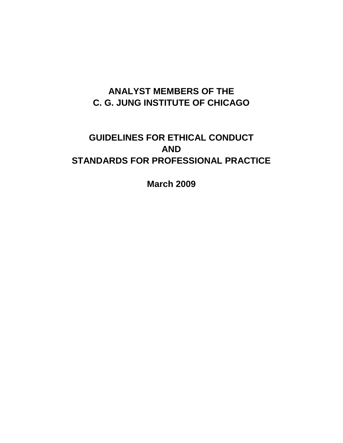# **ANALYST MEMBERS OF THE C. G. JUNG INSTITUTE OF CHICAGO**

# **GUIDELINES FOR ETHICAL CONDUCT AND STANDARDS FOR PROFESSIONAL PRACTICE**

**March 2009**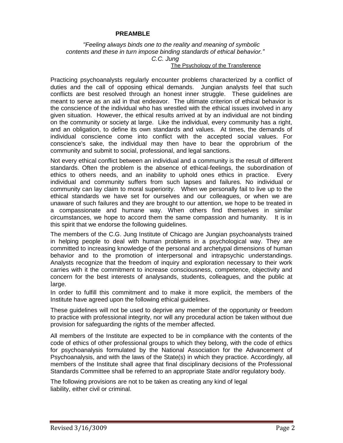#### **PREAMBLE**

*"Feeling always binds one to the reality and meaning of symbolic contents and these in turn impose binding standards of ethical behavior." C.C. Jung*

#### The Psychology of the Transference

Practicing psychoanalysts regularly encounter problems characterized by a conflict of duties and the call of opposing ethical demands. Jungian analysts feel that such conflicts are best resolved through an honest inner struggle. These guidelines are meant to serve as an aid in that endeavor. The ultimate criterion of ethical behavior is the conscience of the individual who has wrestled with the ethical issues involved in any given situation. However, the ethical results arrived at by an individual are not binding on the community or society at large. Like the individual, every community has a right, and an obligation, to define its own standards and values. At times, the demands of individual conscience come into conflict with the accepted social values. For conscience's sake, the individual may then have to bear the opprobrium of the community and submit to social, professional, and legal sanctions.

Not every ethical conflict between an individual and a community is the result of different standards. Often the problem is the absence of ethical-feelings, the subordination of ethics to others needs, and an inability to uphold ones ethics in practice. Every individual and community suffers from such lapses and failures. No individual or community can lay claim to moral superiority. When we personally fail to live up to the ethical standards we have set for ourselves and our colleagues, or when we are unaware of such failures and they are brought to our attention, we hope to be treated in a compassionate and humane way. When others find themselves in similar circumstances, we hope to accord them the same compassion and humanity. It is in this spirit that we endorse the following guidelines.

The members of the C.G. Jung Institute of Chicago are Jungian psychoanalysts trained in helping people to deal with human problems in a psychological way. They are committed to increasing knowledge of the personal and archetypal dimensions of human behavior and to the promotion of interpersonal and intrapsychic understandings. Analysts recognize that the freedom of inquiry and exploration necessary to their work carries with it the commitment to increase consciousness, competence, objectivity and concern for the best interests of analysands, students, colleagues, and the public at large.

In order to fulfill this commitment and to make it more explicit, the members of the Institute have agreed upon the following ethical guidelines.

These guidelines will not be used to deprive any member of the opportunity or freedom to practice with professional integrity, nor will any procedural action be taken without due provision for safeguarding the rights of the member affected.

All members of the Institute are expected to be in compliance with the contents of the code of ethics of other professional groups to which they belong, with the code of ethics for psychoanalysis formulated by the National Association for the Advancement of Psychoanalysis, and with the laws of the State(s) in which they practice. Accordingly, all members of the Institute shall agree that final disciplinary decisions of the Professional Standards Committee shall be referred to an appropriate State and/or regulatory body.

The following provisions are not to be taken as creating any kind of legal liability, either civil or criminal.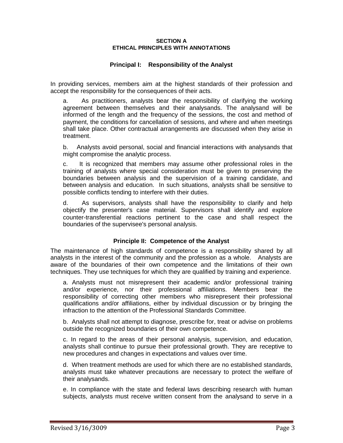#### **SECTION A ETHICAL PRINCIPLES WITH ANNOTATIONS**

### **Principal I: Responsibility of the Analyst**

In providing services, members aim at the highest standards of their profession and accept the responsibility for the consequences of their acts.

a. As practitioners, analysts bear the responsibility of clarifying the working agreement between themselves and their analysands. The analysand will be informed of the length and the frequency of the sessions, the cost and method of payment, the conditions for cancellation of sessions, and where and when meetings shall take place. Other contractual arrangements are discussed when they arise in treatment.

b. Analysts avoid personal, social and financial interactions with analysands that might compromise the analytic process.

c. It is recognized that members may assume other professional roles in the training of analysts where special consideration must be given to preserving the boundaries between analysis and the supervision of a training candidate, and between analysis and education. In such situations, analysts shall be sensitive to possible conflicts tending to interfere with their duties.

d. As supervisors, analysts shall have the responsibility to clarify and help objectify the presenter's case material. Supervisors shall identify and explore counter-transferential reactions pertinent to the case and shall respect the boundaries of the supervisee's personal analysis.

### **Principle II: Competence of the Analyst**

The maintenance of high standards of competence is a responsibility shared by all analysts in the interest of the community and the profession as a whole. Analysts are aware of the boundaries of their own competence and the limitations of their own techniques. They use techniques for which they are qualified by training and experience.

a. Analysts must not misrepresent their academic and/or professional training and/or experience, nor their professional affiliations. Members bear the responsibility of correcting other members who misrepresent their professional qualifications and/or affiliations, either by individual discussion or by bringing the infraction to the attention of the Professional Standards Committee.

b. Analysts shall not attempt to diagnose, prescribe for, treat or advise on problems outside the recognized boundaries of their own competence.

c. In regard to the areas of their personal analysis, supervision, and education, analysts shall continue to pursue their professional growth. They are receptive to new procedures and changes in expectations and values over time.

d. When treatment methods are used for which there are no established standards, analysts must take whatever precautions are necessary to protect the welfare of their analysands.

e. In compliance with the state and federal laws describing research with human subjects, analysts must receive written consent from the analysand to serve in a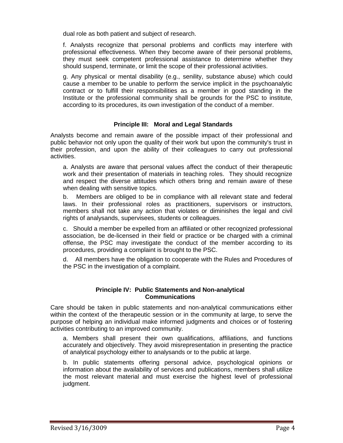dual role as both patient and subject of research.

f. Analysts recognize that personal problems and conflicts may interfere with professional effectiveness. When they become aware of their personal problems, they must seek competent professional assistance to determine whether they should suspend, terminate, or limit the scope of their professional activities.

g. Any physical or mental disability (e.g., senility, substance abuse) which could cause a member to be unable to perform the service implicit in the psychoanalytic contract or to fulfill their responsibilities as a member in good standing in the Institute or the professional community shall be grounds for the PSC to institute, according to its procedures, its own investigation of the conduct of a member.

### **Principle III: Moral and Legal Standards**

Analysts become and remain aware of the possible impact of their professional and public behavior not only upon the quality of their work but upon the community's trust in their profession, and upon the ability of their colleagues to carry out professional activities.

a. Analysts are aware that personal values affect the conduct of their therapeutic work and their presentation of materials in teaching roles. They should recognize and respect the diverse attitudes which others bring and remain aware of these when dealing with sensitive topics.

b. Members are obliged to be in compliance with all relevant state and federal laws. In their professional roles as practitioners, supervisors or instructors, members shall not take any action that violates or diminishes the legal and civil rights of analysands, supervisees, students or colleagues.

c. Should a member be expelled from an affiliated or other recognized professional association, be de-licensed in their field or practice or be charged with a criminal offense, the PSC may investigate the conduct of the member according to its procedures, providing a complaint is brought to the PSC.

d. All members have the obligation to cooperate with the Rules and Procedures of the PSC in the investigation of a complaint.

#### **Principle IV: Public Statements and Non-analytical Communications**

Care should be taken in public statements and non-analytical communications either within the context of the therapeutic session or in the community at large, to serve the purpose of helping an individual make informed judgments and choices or of fostering activities contributing to an improved community.

a. Members shall present their own qualifications, affiliations, and functions accurately and objectively. They avoid misrepresentation in presenting the practice of analytical psychology either to analysands or to the public at large.

b. In public statements offering personal advice, psychological opinions or information about the availability of services and publications, members shall utilize the most relevant material and must exercise the highest level of professional judgment.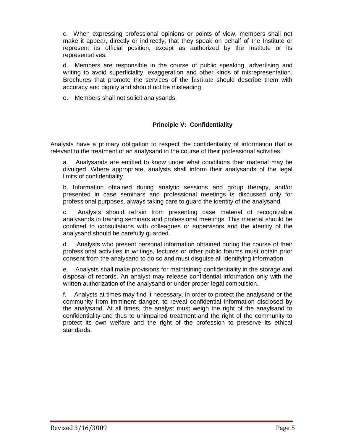c. When expressing professional opinions or points of view, members shall not make it appear, directly or indirectly, that they speak on behalf of the Institute or represent its official position, except as authorized by the Institute or its representatives.

d. Members are responsible in the course of public speaking, advertising and writing to avoid superficiality, exaggeration and other kinds of misrepresentation. Brochures that promote the services of the Institute should describe them with accuracy and dignity and should not be misleading.

e. Members shall not solicit analysands.

## **Principle V: Confidentiality**

Analysts have a primary obligation to respect the confidentiality of information that is relevant to the treatment of an analysand in the course of their professional activities.

a. Analysands are entitled to know under what conditions their material may be divulged. Where appropriate, analysts shall inform their analysands of the legal limits of confidentiality.

b. Information obtained during analytic sessions and group therapy, and/or presented in case seminars and professional meetings is discussed only for professional purposes, always taking care to guard the identity of the analysand.

c. Analysts should refrain from presenting case material of recognizable analysands in training seminars and professional meetings. This material should be confined to consultations with colleagues or supervisors and the identity of the analysand should be carefully guarded.

d. Analysts who present personal information obtained during the course of their professional activities in writings, lectures or other public forums must obtain prior consent from the analysand to do so and must disguise all identifying information.

e. Analysts shall make provisions for maintaining confidentiality in the storage and disposal of records. An analyst may release confidential information only with the written authorization of the analysand or under proper legal compulsion.

f. Analysts at times may find it necessary, in order to protect the analysand or the community from imminent danger, to reveal confidential information disclosed by the analysand. At all times, the analyst must weigh the right of the anaylsand to confidentiality-and thus to unimpaired treatment-and the right of the community to protect its own welfare and the right of the profession to preserve its ethical standards.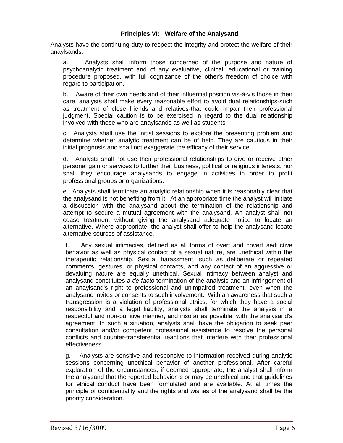### **Principles VI: Welfare of the Analysand**

Analysts have the continuing duty to respect the integrity and protect the welfare of their anaylsands.

a. Analysts shall inform those concerned of the purpose and nature of psychoanalytic treatment and of any evaluative, clinical, educational or training procedure proposed, with full cognizance of the other's freedom of choice with regard to participation.

b. Aware of their own needs and of their influential position vis-à-vis those in their care, analysts shall make every reasonable effort to avoid dual relationships-such as treatment of close friends and relatives-that could impair their professional judgment. Special caution is to be exercised in regard to the dual relationship involved with those who are anaylsands as well as students.

c. Analysts shall use the initial sessions to explore the presenting problem and determine whether analytic treatment can be of help. They are cautious in their initial prognosis and shall not exaggerate the efficacy of their service.

d. Analysts shall not use their professional relationships to give or receive other personal gain or services to further their business, political or religious interests, nor shall they encourage analysands to engage in activities in order to profit professional groups or organizations.

e. Analysts shall terminate an analytic relationship when it is reasonably clear that the analysand is not benefiting from it. At an appropriate time the analyst will initiate a discussion with the analysand about the termination of the relationship and attempt to secure a mutual agreement with the analysand. An analyst shall not cease treatment without giving the analysand adequate notice to locate an alternative. Where appropriate, the analyst shall offer to help the analysand locate alternative sources of assistance.

f. Any sexual intimacies, defined as all forms of overt and covert seductive behavior as well as physical contact of a sexual nature, are unethical within the therapeutic relationship. Sexual harassment, such as deliberate or repeated comments, gestures, or physical contacts, and any contact of an aggressive or devaluing nature are equally unethical. Sexual intimacy between analyst and analysand constitutes a *de facto* termination of the analysis and an infringement of an anaylsand's right to professional and unimpaired treatment, even when the analysand invites or consents to such involvement. With an awareness that such a transgression is a violation of professional ethics, for which they have a social responsibility and a legal liability, analysts shall terminate the analysis in a respectful and non-punitive manner, and insofar as possible, with the analysand's agreement. In such a situation, analysts shall have the obligation to seek peer consultation and/or competent professional assistance to resolve the personal conflicts and counter-transferential reactions that interfere with their professional effectiveness.

g. Analysts are sensitive and responsive to information received during analytic sessions concerning unethical behavior of another professional. After careful exploration of the circumstances, if deemed appropriate, the analyst shall inform the analysand that the reported behavior is or may be unethical and that guidelines for ethical conduct have been formulated and are available. At all times the principle of confidentiality and the rights and wishes of the analysand shall be the priority consideration.